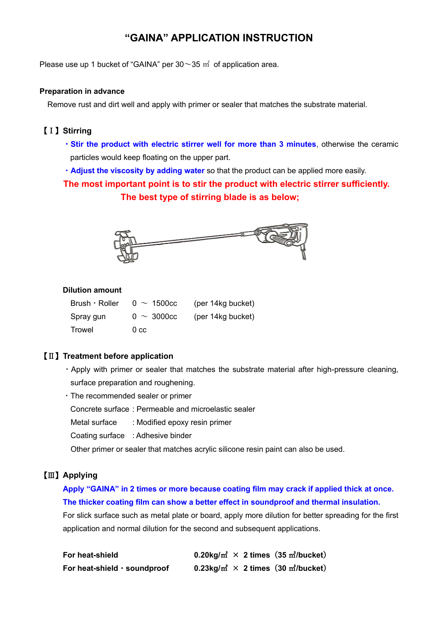# **"GAINA" APPLICATION INSTRUCTION**

Please use up 1 bucket of "GAINA" per  $30\sim35$  m<sup>2</sup> of application area.

#### **Preparation in advance**

Remove rust and dirt well and apply with primer or sealer that matches the substrate material.

## 【Ⅰ】**Stirring**

- ・**Stir the product with electric stirrer well for more than 3 minutes**, otherwise the ceramic particles would keep floating on the upper part.
- ・**Adjust the viscosity by adding water** so that the product can be applied more easily.

 **The most important point is to stir the product with electric stirrer sufficiently. The best type of stirring blade is as below;**



#### **Dilution amount**

| $Brush \cdot Roller$ | $0 \sim 1500c$   | (per 14kg bucket) |
|----------------------|------------------|-------------------|
| Spray gun            | $0 \sim 3000$ cc | (per 14kg bucket) |
| Trowel               | 0 <sub>cc</sub>  |                   |

#### 【Ⅱ】**Treatment before application**

- ・Apply with primer or sealer that matches the substrate material after high-pressure cleaning, surface preparation and roughening.
- ・The recommended sealer or primer
	- Concrete surface : Permeable and microelastic sealer
	- Metal surface : Modified epoxy resin primer
	- Coating surface : Adhesive binder

Other primer or sealer that matches acrylic silicone resin paint can also be used.

#### 【Ⅲ】**Applying**

## **Apply "GAINA" in 2 times or more because coating film may crack if applied thick at once. The thicker coating film can show a better effect in soundproof and thermal insulation.**

 For slick surface such as metal plate or board, apply more dilution for better spreading for the first application and normal dilution for the second and subsequent applications.

| For heat-shield              | 0.20kg/ $m^2 \times 2$ times (35 m <sup>2</sup> /bucket) |
|------------------------------|----------------------------------------------------------|
| For heat-shield · soundproof | 0.23kg/ $m^2 \times 2$ times (30 m <sup>2</sup> /bucket) |